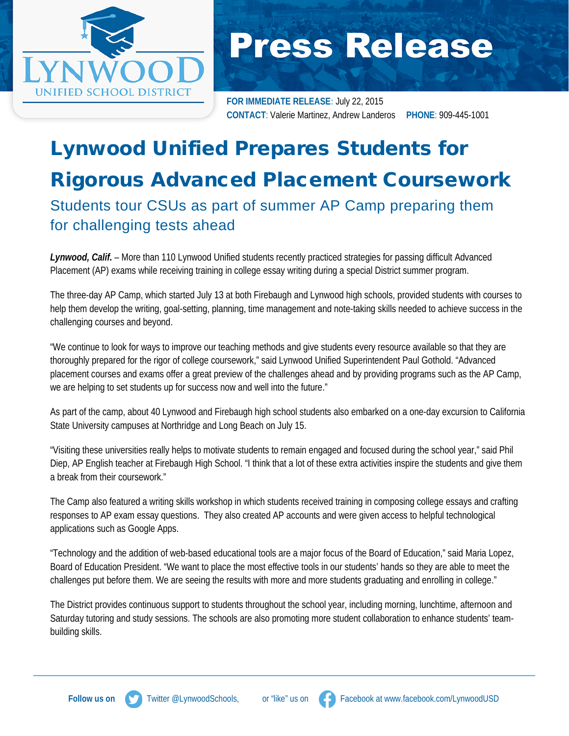

## **Press Release**

**FOR IMMEDIATE RELEASE:** July 22, 2015 **CONTACT**: Valerie Martinez, Andrew Landeros **PHONE**: 909-445-1001

## Lynwood Unified Prepares Students for Rigorous Advanced Placement Coursework Students tour CSUs as part of summer AP Camp preparing them for challenging tests ahead

*Lynwood, Calif.* – More than 110 Lynwood Unified students recently practiced strategies for passing difficult Advanced Placement (AP) exams while receiving training in college essay writing during a special District summer program.

The three-day AP Camp, which started July 13 at both Firebaugh and Lynwood high schools, provided students with courses to help them develop the writing, goal-setting, planning, time management and note-taking skills needed to achieve success in the challenging courses and beyond.

"We continue to look for ways to improve our teaching methods and give students every resource available so that they are thoroughly prepared for the rigor of college coursework," said Lynwood Unified Superintendent Paul Gothold. "Advanced placement courses and exams offer a great preview of the challenges ahead and by providing programs such as the AP Camp, we are helping to set students up for success now and well into the future."

As part of the camp, about 40 Lynwood and Firebaugh high school students also embarked on a one-day excursion to California State University campuses at Northridge and Long Beach on July 15.

"Visiting these universities really helps to motivate students to remain engaged and focused during the school year," said Phil Diep, AP English teacher at Firebaugh High School. "I think that a lot of these extra activities inspire the students and give them a break from their coursework."

The Camp also featured a writing skills workshop in which students received training in composing college essays and crafting responses to AP exam essay questions. They also created AP accounts and were given access to helpful technological applications such as Google Apps.

"Technology and the addition of web-based educational tools are a major focus of the Board of Education," said Maria Lopez, Board of Education President. "We want to place the most effective tools in our students' hands so they are able to meet the challenges put before them. We are seeing the results with more and more students graduating and enrolling in college."

The District provides continuous support to students throughout the school year, including morning, lunchtime, afternoon and Saturday tutoring and study sessions. The schools are also promoting more student collaboration to enhance students' teambuilding skills.